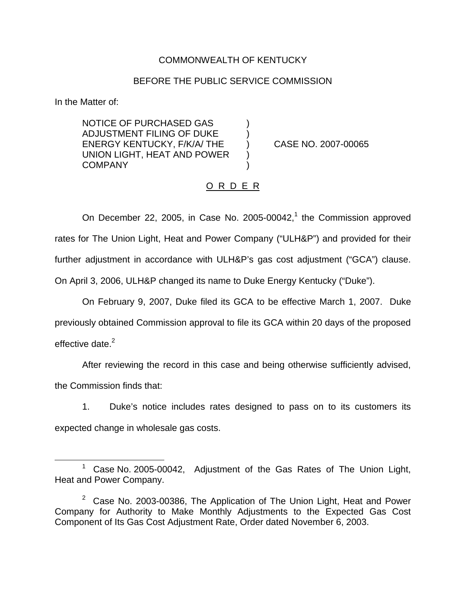# COMMONWEALTH OF KENTUCKY

### BEFORE THE PUBLIC SERVICE COMMISSION

In the Matter of:

NOTICE OF PURCHASED GAS ) ADJUSTMENT FILING OF DUKE ) ENERGY KENTUCKY, F/K/A/ THE ) CASE NO. 2007-00065 UNION LIGHT, HEAT AND POWER ) **COMPANY** 

# O R D E R

On December 22, 2005, in Case No. 2005-00042, $<sup>1</sup>$  the Commission approved</sup> rates for The Union Light, Heat and Power Company ("ULH&P") and provided for their further adjustment in accordance with ULH&P's gas cost adjustment ("GCA") clause. On April 3, 2006, ULH&P changed its name to Duke Energy Kentucky ("Duke").

On February 9, 2007, Duke filed its GCA to be effective March 1, 2007. Duke previously obtained Commission approval to file its GCA within 20 days of the proposed effective date. $2$ 

After reviewing the record in this case and being otherwise sufficiently advised, the Commission finds that:

1. Duke's notice includes rates designed to pass on to its customers its expected change in wholesale gas costs.

Case No. 2005-00042, Adjustment of the Gas Rates of The Union Light, Heat and Power Company.

 $2$  Case No. 2003-00386, The Application of The Union Light, Heat and Power Company for Authority to Make Monthly Adjustments to the Expected Gas Cost Component of Its Gas Cost Adjustment Rate, Order dated November 6, 2003.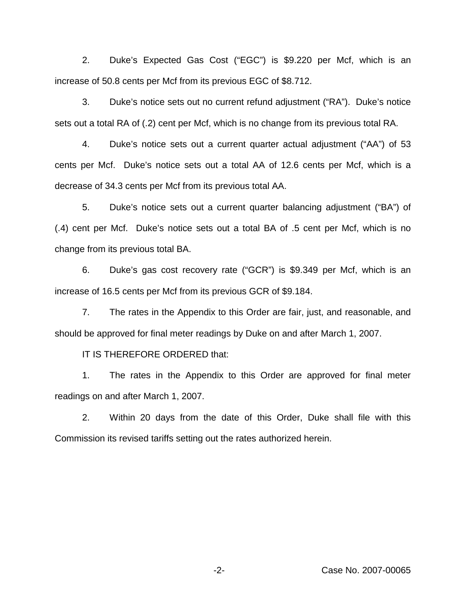2. Duke's Expected Gas Cost ("EGC") is \$9.220 per Mcf, which is an increase of 50.8 cents per Mcf from its previous EGC of \$8.712.

3. Duke's notice sets out no current refund adjustment ("RA"). Duke's notice sets out a total RA of (.2) cent per Mcf, which is no change from its previous total RA.

4. Duke's notice sets out a current quarter actual adjustment ("AA") of 53 cents per Mcf. Duke's notice sets out a total AA of 12.6 cents per Mcf, which is a decrease of 34.3 cents per Mcf from its previous total AA.

5. Duke's notice sets out a current quarter balancing adjustment ("BA") of (.4) cent per Mcf. Duke's notice sets out a total BA of .5 cent per Mcf, which is no change from its previous total BA.

6. Duke's gas cost recovery rate ("GCR") is \$9.349 per Mcf, which is an increase of 16.5 cents per Mcf from its previous GCR of \$9.184.

7. The rates in the Appendix to this Order are fair, just, and reasonable, and should be approved for final meter readings by Duke on and after March 1, 2007.

IT IS THEREFORE ORDERED that:

1. The rates in the Appendix to this Order are approved for final meter readings on and after March 1, 2007.

2. Within 20 days from the date of this Order, Duke shall file with this Commission its revised tariffs setting out the rates authorized herein.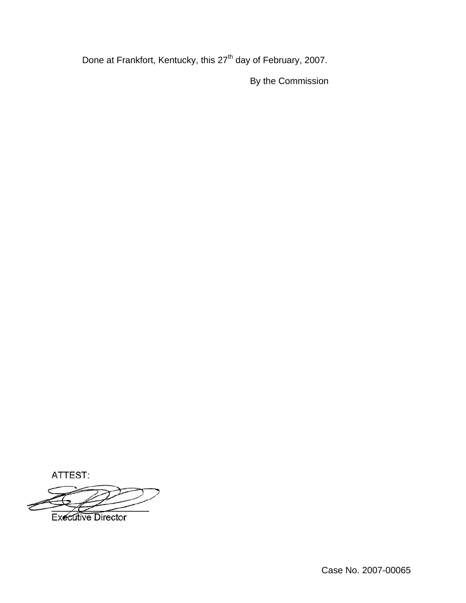Done at Frankfort, Kentucky, this 27<sup>th</sup> day of February, 2007.

By the Commission

ATTEST:

**Executive Director** 

Case No. 2007-00065